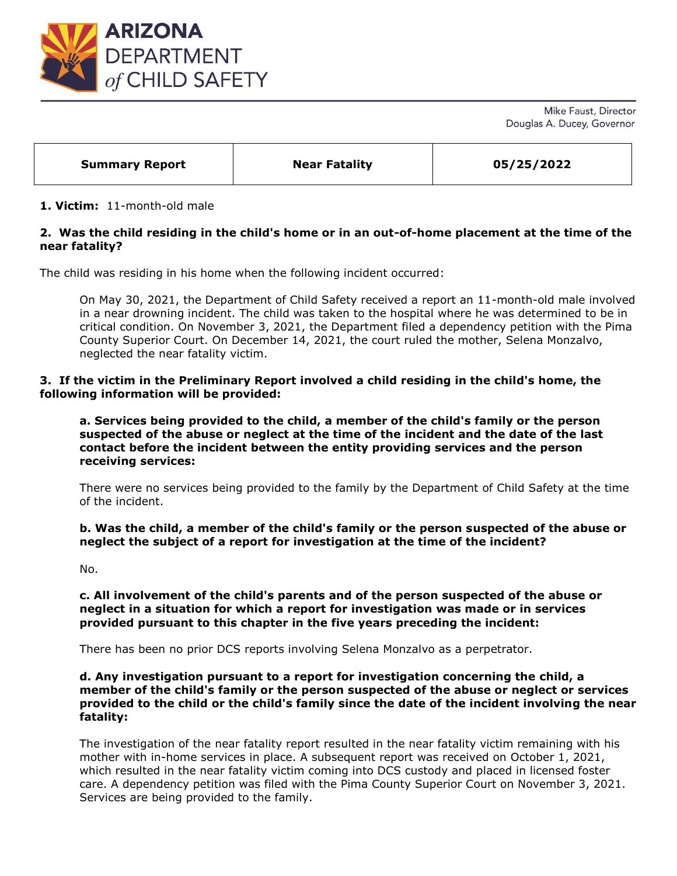

Mike Faust, Director Douglas A. Ducey, Governor

| 05/25/2022<br><b>Near Fatality</b><br><b>Summary Report</b> |
|-------------------------------------------------------------|
|-------------------------------------------------------------|

### **1. Victim:** 11-month-old male

## **2. Was the child residing in the child's home or in an out-of-home placement at the time of the near fatality?**

The child was residing in his home when the following incident occurred:

On May 30, 2021, the Department of Child Safety received a report an 11-month-old male involved in a near drowning incident. The child was taken to the hospital where he was determined to be in critical condition. On November 3, 2021, the Department filed a dependency petition with the Pima County Superior Court. On December 14, 2021, the court ruled the mother, Selena Monzalvo, neglected the near fatality victim.

### **3. If the victim in the Preliminary Report involved a child residing in the child's home, the following information will be provided:**

**a. Services being provided to the child, a member of the child's family or the person suspected of the abuse or neglect at the time of the incident and the date of the last contact before the incident between the entity providing services and the person receiving services:** 

There were no services being provided to the family by the Department of Child Safety at the time of the incident.

**b. Was the child, a member of the child's family or the person suspected of the abuse or neglect the subject of a report for investigation at the time of the incident?**

No.

**c. All involvement of the child's parents and of the person suspected of the abuse or neglect in a situation for which a report for investigation was made or in services provided pursuant to this chapter in the five years preceding the incident:**

There has been no prior DCS reports involving Selena Monzalvo as a perpetrator.

### **d. Any investigation pursuant to a report for investigation concerning the child, a member of the child's family or the person suspected of the abuse or neglect or services provided to the child or the child's family since the date of the incident involving the near fatality:**

The investigation of the near fatality report resulted in the near fatality victim remaining with his mother with in-home services in place. A subsequent report was received on October 1, 2021, which resulted in the near fatality victim coming into DCS custody and placed in licensed foster care. A dependency petition was filed with the Pima County Superior Court on November 3, 2021. Services are being provided to the family.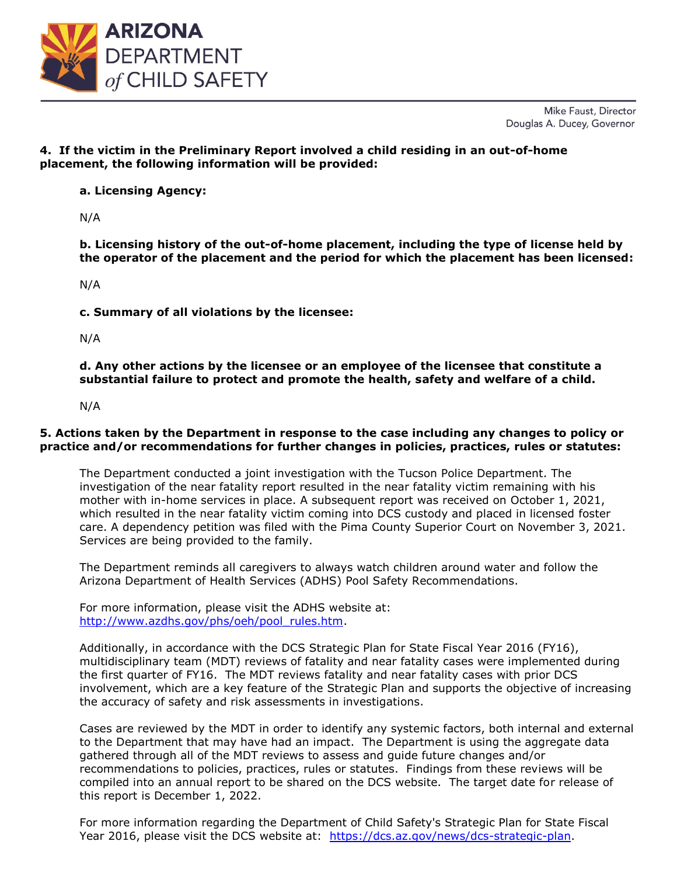

Mike Faust, Director Douglas A. Ducey, Governor

# **4. If the victim in the Preliminary Report involved a child residing in an out-of-home placement, the following information will be provided:**

**a. Licensing Agency:** 

N/A

**b. Licensing history of the out-of-home placement, including the type of license held by the operator of the placement and the period for which the placement has been licensed:** 

N/A

**c. Summary of all violations by the licensee:** 

N/A

**d. Any other actions by the licensee or an employee of the licensee that constitute a substantial failure to protect and promote the health, safety and welfare of a child.**

N/A

### **5. Actions taken by the Department in response to the case including any changes to policy or practice and/or recommendations for further changes in policies, practices, rules or statutes:**

The Department conducted a joint investigation with the Tucson Police Department. The investigation of the near fatality report resulted in the near fatality victim remaining with his mother with in-home services in place. A subsequent report was received on October 1, 2021, which resulted in the near fatality victim coming into DCS custody and placed in licensed foster care. A dependency petition was filed with the Pima County Superior Court on November 3, 2021. Services are being provided to the family.

The Department reminds all caregivers to always watch children around water and follow the Arizona Department of Health Services (ADHS) Pool Safety Recommendations.

For more information, please visit the ADHS website at: [http://www.azdhs.gov/phs/oeh/pool\\_rules.htm.](http://www.azdhs.gov/phs/oeh/pool_rules.htm)

Additionally, in accordance with the DCS Strategic Plan for State Fiscal Year 2016 (FY16), multidisciplinary team (MDT) reviews of fatality and near fatality cases were implemented during the first quarter of FY16. The MDT reviews fatality and near fatality cases with prior DCS involvement, which are a key feature of the Strategic Plan and supports the objective of increasing the accuracy of safety and risk assessments in investigations.

Cases are reviewed by the MDT in order to identify any systemic factors, both internal and external to the Department that may have had an impact. The Department is using the aggregate data gathered through all of the MDT reviews to assess and guide future changes and/or recommendations to policies, practices, rules or statutes. Findings from these reviews will be compiled into an annual report to be shared on the DCS website. The target date for release of this report is December 1, 2022.

For more information regarding the Department of Child Safety's Strategic Plan for State Fiscal Year 2016, please visit the DCS website at: [https://dcs.az.gov/news/dcs-strategic-plan.](https://dcs.az.gov/news/dcs-strategic-plan)